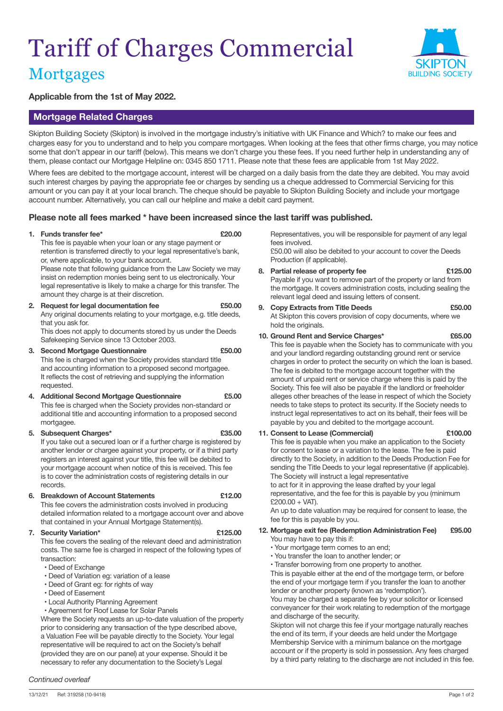# Tariff of Charges Commercial



## **Mortgages**

#### **Applicable from the 1st of May 2022.**

## **Mortgage Related Charges**

Skipton Building Society (Skipton) is involved in the mortgage industry's initiative with UK Finance and Which? to make our fees and charges easy for you to understand and to help you compare mortgages. When looking at the fees that other firms charge, you may notice some that don't appear in our tariff (below). This means we don't charge you these fees. If you need further help in understanding any of them, please contact our Mortgage Helpline on: 0345 850 1711. Please note that these fees are applicable from 1st May 2022.

Where fees are debited to the mortgage account, interest will be charged on a daily basis from the date they are debited. You may avoid such interest charges by paying the appropriate fee or charges by sending us a cheque addressed to Commercial Servicing for this amount or you can pay it at your local branch. The cheque should be payable to Skipton Building Society and include your mortgage account number. Alternatively, you can call our helpline and make a debit card payment.

### **Please note all fees marked \* have been increased since the last tariff was published.**

#### **1. Funds transfer fee\* £20.00**

This fee is payable when your loan or any stage payment or retention is transferred directly to your legal representative's bank, or, where applicable, to your bank account.

 Please note that following guidance from the Law Society we may insist on redemption monies being sent to us electronically. Your legal representative is likely to make a charge for this transfer. The amount they charge is at their discretion.

**2. Request for legal documentation fee £50.00** Any original documents relating to your mortgage, e.g. title deeds, that you ask for. This does not apply to documents stored by us under the Deeds

Safekeeping Service since 13 October 2003.

**3. Second Mortgage Questionnaire £50.00** This fee is charged when the Society provides standard title and accounting information to a proposed second mortgagee. It reflects the cost of retrieving and supplying the information requested.

**4. Additional Second Mortgage Questionnaire £5.00** This fee is charged when the Society provides non-standard or additional title and accounting information to a proposed second mortgagee.

**5. Subsequent Charges\* £35.00** If you take out a secured loan or if a further charge is registered by another lender or chargee against your property, or if a third party registers an interest against your title, this fee will be debited to your mortgage account when notice of this is received. This fee is to cover the administration costs of registering details in our records.

**6. Breakdown of Account Statements £12.00** This fee covers the administration costs involved in producing

detailed information related to a mortgage account over and above that contained in your Annual Mortgage Statement(s).

#### **7. Security Variation\* £125.00**

This fee covers the sealing of the relevant deed and administration costs. The same fee is charged in respect of the following types of transaction:

- Deed of Exchange
- Deed of Variation eg: variation of a lease
- Deed of Grant eg: for rights of way
- Deed of Easement
- Local Authority Planning Agreement

 • Agreement for Roof Lease for Solar Panels Where the Society requests an up-to-date valuation of the property prior to considering any transaction of the type described above, a Valuation Fee will be payable directly to the Society. Your legal representative will be required to act on the Society's behalf (provided they are on our panel) at your expense. Should it be necessary to refer any documentation to the Society's Legal

#### *Continued overleaf*

Representatives, you will be responsible for payment of any legal fees involved.

£50.00 will also be debited to your account to cover the Deeds Production (if applicable).

- **8. Partial release of property fee £125.00** Payable if you want to remove part of the property or land from the mortgage. It covers administration costs, including sealing the relevant legal deed and issuing letters of consent.
- **9. Copy Extracts from Title Deeds £50.00** At Skipton this covers provision of copy documents, where we hold the originals.

#### **10. Ground Rent and Service Charges\* £65.00**

This fee is payable when the Society has to communicate with you and your landlord regarding outstanding ground rent or service charges in order to protect the security on which the loan is based. The fee is debited to the mortgage account together with the amount of unpaid rent or service charge where this is paid by the Society. This fee will also be payable if the landlord or freeholder alleges other breaches of the lease in respect of which the Society needs to take steps to protect its security. If the Society needs to instruct legal representatives to act on its behalf, their fees will be payable by you and debited to the mortgage account.

#### **11. Consent to Lease (Commercial) £100.00**

This fee is payable when you make an application to the Society for consent to lease or a variation to the lease. The fee is paid directly to the Society, in addition to the Deeds Production Fee for sending the Title Deeds to your legal representative (if applicable). The Society will instruct a legal representative

to act for it in approving the lease drafted by your legal representative, and the fee for this is payable by you (minimum  $£200.00 + VAT$ ).

An up to date valuation may be required for consent to lease, the fee for this is payable by you.

- **12. Mortgage exit fee (Redemption Administration Fee) £95.00** You may have to pay this if:
	- Your mortgage term comes to an end;
	- You transfer the loan to another lender; or
	- Transfer borrowing from one property to another.

This is payable either at the end of the mortgage term, or before the end of your mortgage term if you transfer the loan to another lender or another property (known as 'redemption').

You may be charged a separate fee by your solicitor or licensed conveyancer for their work relating to redemption of the mortgage and discharge of the security.

 Skipton will not charge this fee if your mortgage naturally reaches the end of its term, if your deeds are held under the Mortgage Membership Service with a minimum balance on the mortgage account or if the property is sold in possession. Any fees charged by a third party relating to the discharge are not included in this fee.